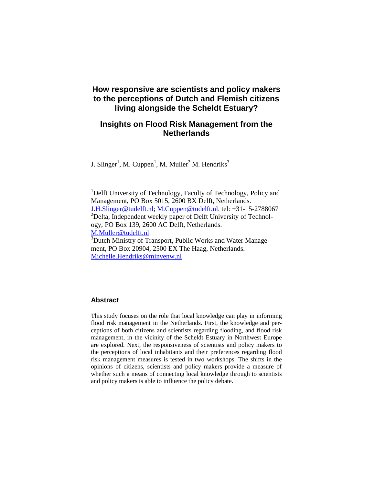# **How responsive are scientists and policy makers to the perceptions of Dutch and Flemish citizens living alongside the Scheldt Estuary?**

# **Insights on Flood Risk Management from the Netherlands**

J. Slinger<sup>1</sup>, M. Cuppen<sup>1</sup>, M. Muller<sup>2</sup> M. Hendriks<sup>3</sup>

<sup>1</sup>Delft University of Technology, Faculty of Technology, Policy and Management, PO Box 5015, 2600 BX Delft, Netherlands. J.H.Slinger@tudelft.nl; M.Cuppen@tudelft.nl. tel: +31-15-2788067  $2$ Delta, Independent weekly paper of Delft University of Technology, PO Box 139, 2600 AC Delft, Netherlands. M.Muller@tudelft.nl <sup>3</sup>Dutch Ministry of Transport, Public Works and Water Management, PO Box 20904, 2500 EX The Haag, Netherlands.

Michelle.Hendriks@minvenw.nl

# **Abstract**

This study focuses on the role that local knowledge can play in informing flood risk management in the Netherlands. First, the knowledge and perceptions of both citizens and scientists regarding flooding, and flood risk management, in the vicinity of the Scheldt Estuary in Northwest Europe are explored. Next, the responsiveness of scientists and policy makers to the perceptions of local inhabitants and their preferences regarding flood risk management measures is tested in two workshops. The shifts in the opinions of citizens, scientists and policy makers provide a measure of whether such a means of connecting local knowledge through to scientists and policy makers is able to influence the policy debate.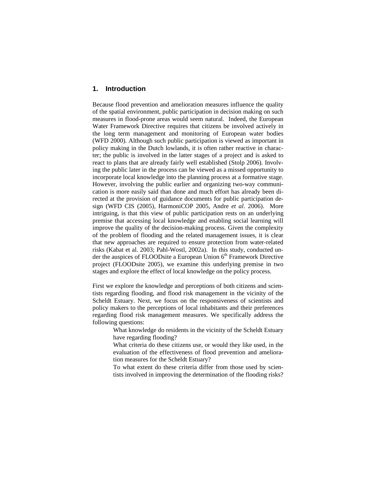### **1. Introduction**

Because flood prevention and amelioration measures influence the quality of the spatial environment, public participation in decision making on such measures in flood-prone areas would seem natural. Indeed, the European Water Framework Directive requires that citizens be involved actively in the long term management and monitoring of European water bodies (WFD 2000). Although such public participation is viewed as important in policy making in the Dutch lowlands, it is often rather reactive in character; the public is involved in the latter stages of a project and is asked to react to plans that are already fairly well established (Stolp 2006). Involving the public later in the process can be viewed as a missed opportunity to incorporate local knowledge into the planning process at a formative stage. However, involving the public earlier and organizing two-way communication is more easily said than done and much effort has already been directed at the provision of guidance documents for public participation design (WFD CIS (2005), HarmoniCOP 2005, Andre *et al*. 2006). More intriguing, is that this view of public participation rests on an underlying premise that accessing local knowledge and enabling social learning will improve the quality of the decision-making process. Given the complexity of the problem of flooding and the related management issues, it is clear that new approaches are required to ensure protection from water-related risks (Kabat et al. 2003; Pahl-Wostl, 2002a). In this study, conducted under the auspices of FLOODsite a European Union  $6<sup>th</sup>$  Framework Directive project (FLOODsite 2005), we examine this underlying premise in two stages and explore the effect of local knowledge on the policy process.

First we explore the knowledge and perceptions of both citizens and scientists regarding flooding, and flood risk management in the vicinity of the Scheldt Estuary. Next, we focus on the responsiveness of scientists and policy makers to the perceptions of local inhabitants and their preferences regarding flood risk management measures. We specifically address the following questions:

- What knowledge do residents in the vicinity of the Scheldt Estuary have regarding flooding?
- What criteria do these citizens use, or would they like used, in the evaluation of the effectiveness of flood prevention and amelioration measures for the Scheldt Estuary?
- To what extent do these criteria differ from those used by scientists involved in improving the determination of the flooding risks?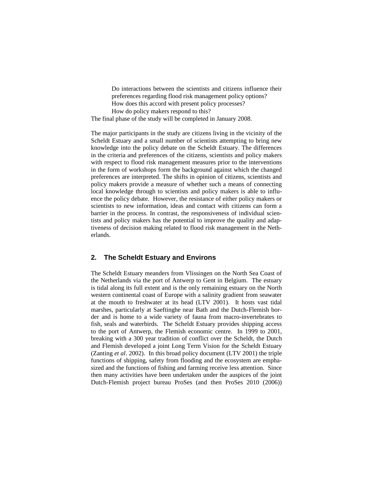- Do interactions between the scientists and citizens influence their preferences regarding flood risk management policy options?
- How does this accord with present policy processes?
- How do policy makers respond to this?

The final phase of the study will be completed in January 2008.

The major participants in the study are citizens living in the vicinity of the Scheldt Estuary and a small number of scientists attempting to bring new knowledge into the policy debate on the Scheldt Estuary. The differences in the criteria and preferences of the citizens, scientists and policy makers with respect to flood risk management measures prior to the interventions in the form of workshops form the background against which the changed preferences are interpreted. The shifts in opinion of citizens, scientists and policy makers provide a measure of whether such a means of connecting local knowledge through to scientists and policy makers is able to influence the policy debate. However, the resistance of either policy makers or scientists to new information, ideas and contact with citizens can form a barrier in the process. In contrast, the responsiveness of individual scientists and policy makers has the potential to improve the quality and adaptiveness of decision making related to flood risk management in the Netherlands.

## **2. The Scheldt Estuary and Environs**

The Scheldt Estuary meanders from Vlissingen on the North Sea Coast of the Netherlands via the port of Antwerp to Gent in Belgium. The estuary is tidal along its full extent and is the only remaining estuary on the North western continental coast of Europe with a salinity gradient from seawater at the mouth to freshwater at its head (LTV 2001). It hosts vast tidal marshes, particularly at Saeftinghe near Bath and the Dutch-Flemish border and is home to a wide variety of fauna from macro-invertebrates to fish, seals and waterbirds. The Scheldt Estuary provides shipping access to the port of Antwerp, the Flemish economic centre. In 1999 to 2001, breaking with a 300 year tradition of conflict over the Scheldt, the Dutch and Flemish developed a joint Long Term Vision for the Scheldt Estuary (Zanting *et al*. 2002). In this broad policy document (LTV 2001) the triple functions of shipping, safety from flooding and the ecosystem are emphasized and the functions of fishing and farming receive less attention. Since then many activities have been undertaken under the auspices of the joint Dutch-Flemish project bureau ProSes (and then ProSes 2010 (2006))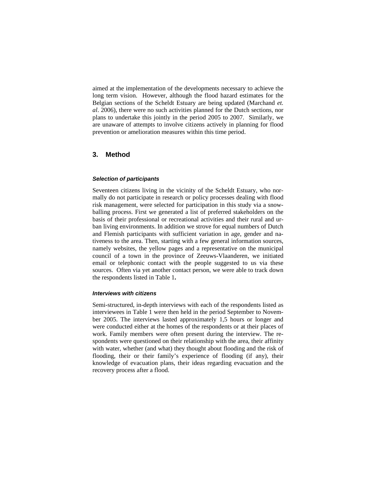aimed at the implementation of the developments necessary to achieve the long term vision. However, although the flood hazard estimates for the Belgian sections of the Scheldt Estuary are being updated (Marchand *et. al*. 2006), there were no such activities planned for the Dutch sections, nor plans to undertake this jointly in the period 2005 to 2007. Similarly, we are unaware of attempts to involve citizens actively in planning for flood prevention or amelioration measures within this time period.

## **3. Method**

#### **Selection of participants**

Seventeen citizens living in the vicinity of the Scheldt Estuary, who normally do not participate in research or policy processes dealing with flood risk management, were selected for participation in this study via a snowballing process. First we generated a list of preferred stakeholders on the basis of their professional or recreational activities and their rural and urban living environments. In addition we strove for equal numbers of Dutch and Flemish participants with sufficient variation in age, gender and nativeness to the area. Then, starting with a few general information sources, namely websites, the yellow pages and a representative on the municipal council of a town in the province of Zeeuws-Vlaanderen, we initiated email or telephonic contact with the people suggested to us via these sources. Often via yet another contact person, we were able to track down the respondents listed in Table 1**.** 

#### **Interviews with citizens**

Semi-structured, in-depth interviews with each of the respondents listed as interviewees in Table 1 were then held in the period September to November 2005. The interviews lasted approximately 1,5 hours or longer and were conducted either at the homes of the respondents or at their places of work. Family members were often present during the interview. The respondents were questioned on their relationship with the area, their affinity with water, whether (and what) they thought about flooding and the risk of flooding, their or their family's experience of flooding (if any), their knowledge of evacuation plans, their ideas regarding evacuation and the recovery process after a flood.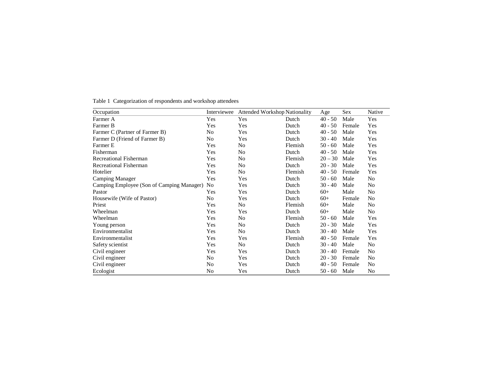| Occupation                                | Interviewee    | <b>Attended Workshop Nationality</b> |         | Age       | Sex    | Native         |
|-------------------------------------------|----------------|--------------------------------------|---------|-----------|--------|----------------|
| Farmer A                                  | Yes            | Yes                                  | Dutch   | $40 - 50$ | Male   | Yes            |
| Farmer B                                  | Yes            | Yes                                  | Dutch   | $40 - 50$ | Female | Yes            |
| Farmer C (Partner of Farmer B)            | No             | Yes                                  | Dutch   | $40 - 50$ | Male   | Yes            |
| Farmer D (Friend of Farmer B)             | No             | Yes                                  | Dutch   | $30 - 40$ | Male   | Yes            |
| Farmer E                                  | Yes            | N <sub>0</sub>                       | Flemish | $50 - 60$ | Male   | Yes            |
| Fisherman                                 | Yes            | N <sub>0</sub>                       | Dutch   | $40 - 50$ | Male   | Yes            |
| <b>Recreational Fisherman</b>             | Yes            | N <sub>0</sub>                       | Flemish | $20 - 30$ | Male   | Yes            |
| <b>Recreational Fisherman</b>             | Yes            | N <sub>0</sub>                       | Dutch   | $20 - 30$ | Male   | Yes            |
| Hotelier                                  | Yes            | N <sub>0</sub>                       | Flemish | $40 - 50$ | Female | Yes            |
| <b>Camping Manager</b>                    | Yes            | Yes                                  | Dutch   | $50 - 60$ | Male   | No             |
| Camping Employee (Son of Camping Manager) | N <sub>0</sub> | Yes                                  | Dutch   | $30 - 40$ | Male   | No             |
| Pastor                                    | Yes            | Yes                                  | Dutch   | $60+$     | Male   | No             |
| Housewife (Wife of Pastor)                | No             | Yes                                  | Dutch   | $60+$     | Female | N <sub>0</sub> |
| Priest                                    | Yes            | N <sub>o</sub>                       | Flemish | $60+$     | Male   | No             |
| Wheelman                                  | Yes            | Yes                                  | Dutch   | $60+$     | Male   | No             |
| Wheelman                                  | Yes            | N <sub>0</sub>                       | Flemish | $50 - 60$ | Male   | Yes            |
| Young person                              | Yes            | No                                   | Dutch   | $20 - 30$ | Male   | Yes            |
| Environmentalist                          | Yes            | N <sub>0</sub>                       | Dutch   | $30 - 40$ | Male   | Yes            |
| Environmentalist                          | Yes            | Yes                                  | Flemish | $40 - 50$ | Female | Yes            |
| Safety scientist                          | Yes            | N <sub>o</sub>                       | Dutch   | $30 - 40$ | Male   | No             |
| Civil engineer                            | Yes            | Yes                                  | Dutch   | $30 - 40$ | Female | N <sub>0</sub> |
| Civil engineer                            | No             | Yes                                  | Dutch   | $20 - 30$ | Female | N <sub>0</sub> |
| Civil engineer                            | No             | Yes                                  | Dutch   | $40 - 50$ | Female | No             |
| Ecologist                                 | No             | Yes                                  | Dutch   | $50 - 60$ | Male   | No             |

Table 1 Categorization of respondents and workshop attendees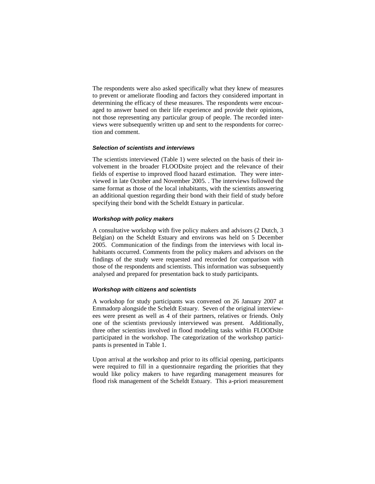The respondents were also asked specifically what they knew of measures to prevent or ameliorate flooding and factors they considered important in determining the efficacy of these measures. The respondents were encouraged to answer based on their life experience and provide their opinions, not those representing any particular group of people. The recorded interviews were subsequently written up and sent to the respondents for correction and comment.

# **Selection of scientists and interviews**

The scientists interviewed (Table 1) were selected on the basis of their involvement in the broader FLOODsite project and the relevance of their fields of expertise to improved flood hazard estimation. They were interviewed in late October and November 2005. . The interviews followed the same format as those of the local inhabitants, with the scientists answering an additional question regarding their bond with their field of study before specifying their bond with the Scheldt Estuary in particular.

### **Workshop with policy makers**

A consultative workshop with five policy makers and advisors (2 Dutch, 3 Belgian) on the Scheldt Estuary and environs was held on 5 December 2005. Communication of the findings from the interviews with local inhabitants occurred. Comments from the policy makers and advisors on the findings of the study were requested and recorded for comparison with those of the respondents and scientists. This information was subsequently analysed and prepared for presentation back to study participants.

#### **Workshop with citizens and scientists**

A workshop for study participants was convened on 26 January 2007 at Emmadorp alongside the Scheldt Estuary. Seven of the original interviewees were present as well as 4 of their partners, relatives or friends. Only one of the scientists previously interviewed was present. Additionally, three other scientists involved in flood modeling tasks within FLOODsite participated in the workshop. The categorization of the workshop participants is presented in Table 1.

Upon arrival at the workshop and prior to its official opening, participants were required to fill in a questionnaire regarding the priorities that they would like policy makers to have regarding management measures for flood risk management of the Scheldt Estuary. This a-priori measurement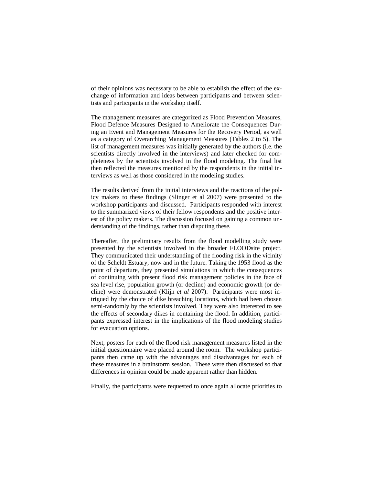of their opinions was necessary to be able to establish the effect of the exchange of information and ideas between participants and between scientists and participants in the workshop itself.

The management measures are categorized as Flood Prevention Measures, Flood Defence Measures Designed to Ameliorate the Consequences During an Event and Management Measures for the Recovery Period, as well as a category of Overarching Management Measures (Tables 2 to 5). The list of management measures was initially generated by the authors (i.e. the scientists directly involved in the interviews) and later checked for completeness by the scientists involved in the flood modeling. The final list then reflected the measures mentioned by the respondents in the initial interviews as well as those considered in the modeling studies.

The results derived from the initial interviews and the reactions of the policy makers to these findings (Slinger et al 2007) were presented to the workshop participants and discussed. Participants responded with interest to the summarized views of their fellow respondents and the positive interest of the policy makers. The discussion focused on gaining a common understanding of the findings, rather than disputing these.

Thereafter, the preliminary results from the flood modelling study were presented by the scientists involved in the broader FLOODsite project. They communicated their understanding of the flooding risk in the vicinity of the Scheldt Estuary, now and in the future. Taking the 1953 flood as the point of departure, they presented simulations in which the consequences of continuing with present flood risk management policies in the face of sea level rise, population growth (or decline) and economic growth (or decline) were demonstrated (Klijn *et al* 2007). Participants were most intrigued by the choice of dike breaching locations, which had been chosen semi-randomly by the scientists involved. They were also interested to see the effects of secondary dikes in containing the flood. In addition, participants expressed interest in the implications of the flood modeling studies for evacuation options.

Next, posters for each of the flood risk management measures listed in the initial questionnaire were placed around the room. The workshop participants then came up with the advantages and disadvantages for each of these measures in a brainstorm session. These were then discussed so that differences in opinion could be made apparent rather than hidden.

Finally, the participants were requested to once again allocate priorities to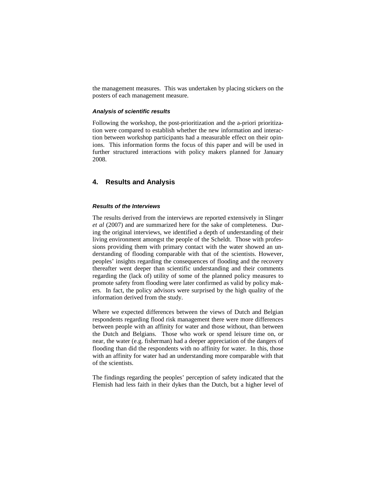the management measures. This was undertaken by placing stickers on the posters of each management measure.

#### **Analysis of scientific results**

Following the workshop, the post-prioritization and the a-priori prioritization were compared to establish whether the new information and interaction between workshop participants had a measurable effect on their opinions. This information forms the focus of this paper and will be used in further structured interactions with policy makers planned for January 2008.

# **4. Results and Analysis**

#### **Results of the Interviews**

The results derived from the interviews are reported extensively in Slinger *et al* (2007) and are summarized here for the sake of completeness. During the original interviews, we identified a depth of understanding of their living environment amongst the people of the Scheldt. Those with professions providing them with primary contact with the water showed an understanding of flooding comparable with that of the scientists. However, peoples' insights regarding the consequences of flooding and the recovery thereafter went deeper than scientific understanding and their comments regarding the (lack of) utility of some of the planned policy measures to promote safety from flooding were later confirmed as valid by policy makers. In fact, the policy advisors were surprised by the high quality of the information derived from the study.

Where we expected differences between the views of Dutch and Belgian respondents regarding flood risk management there were more differences between people with an affinity for water and those without, than between the Dutch and Belgians. Those who work or spend leisure time on, or near, the water (e.g. fisherman) had a deeper appreciation of the dangers of flooding than did the respondents with no affinity for water. In this, those with an affinity for water had an understanding more comparable with that of the scientists.

The findings regarding the peoples' perception of safety indicated that the Flemish had less faith in their dykes than the Dutch, but a higher level of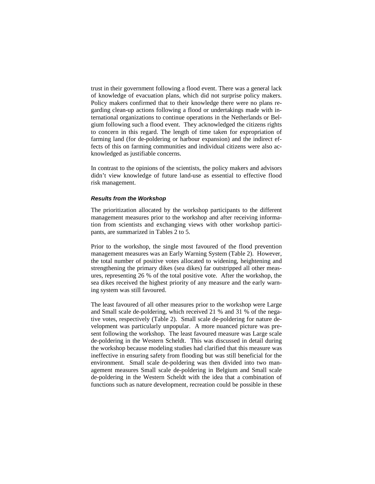trust in their government following a flood event. There was a general lack of knowledge of evacuation plans, which did not surprise policy makers. Policy makers confirmed that to their knowledge there were no plans regarding clean-up actions following a flood or undertakings made with international organizations to continue operations in the Netherlands or Belgium following such a flood event. They acknowledged the citizens rights to concern in this regard. The length of time taken for expropriation of farming land (for de-poldering or harbour expansion) and the indirect effects of this on farming communities and individual citizens were also acknowledged as justifiable concerns.

In contrast to the opinions of the scientists, the policy makers and advisors didn't view knowledge of future land-use as essential to effective flood risk management.

#### **Results from the Workshop**

The prioritization allocated by the workshop participants to the different management measures prior to the workshop and after receiving information from scientists and exchanging views with other workshop participants, are summarized in Tables 2 to 5.

Prior to the workshop, the single most favoured of the flood prevention management measures was an Early Warning System (Table 2). However, the total number of positive votes allocated to widening, heightening and strengthening the primary dikes (sea dikes) far outstripped all other measures, representing 26 % of the total positive vote. After the workshop, the sea dikes received the highest priority of any measure and the early warning system was still favoured.

The least favoured of all other measures prior to the workshop were Large and Small scale de-poldering, which received 21 % and 31 % of the negative votes, respectively (Table 2). Small scale de-poldering for nature development was particularly unpopular. A more nuanced picture was present following the workshop. The least favoured measure was Large scale de-poldering in the Western Scheldt. This was discussed in detail during the workshop because modeling studies had clarified that this measure was ineffective in ensuring safety from flooding but was still beneficial for the environment. Small scale de-poldering was then divided into two management measures Small scale de-poldering in Belgium and Small scale de-poldering in the Western Scheldt with the idea that a combination of functions such as nature development, recreation could be possible in these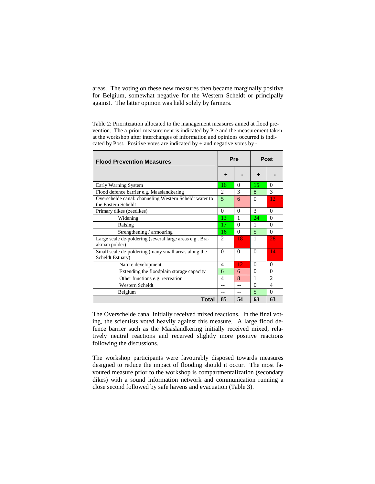areas. The voting on these new measures then became marginally positive for Belgium, somewhat negative for the Western Scheldt or principally against. The latter opinion was held solely by farmers.

Table 2: Prioritization allocated to the management measures aimed at flood prevention. The a-priori measurement is indicated by Pre and the measurement taken at the workshop after interchanges of information and opinions occurred is indicated by Post. Positive votes are indicated by  $+$  and negative votes by  $-$ .

| <b>Flood Prevention Measures</b>                                              | Pre            |              | Post           |                |
|-------------------------------------------------------------------------------|----------------|--------------|----------------|----------------|
|                                                                               | ٠              |              | ٠              |                |
| Early Warning System                                                          | 16             | 0            | 15.            | 0              |
| Flood defence barrier e.g. Maaslandkering                                     | $\mathfrak{D}$ | 3            | 8              | 3              |
| Overschelde canal: channeling Western Scheldt water to<br>the Eastern Scheldt | 5              | 6            | $\Omega$       | 12             |
| Primary dikes (zeedikes)                                                      | $\Omega$       | $\Omega$     | 3              | 0              |
| Widening                                                                      | 13             | 1            | 24             | $\Omega$       |
| Raising                                                                       | 17             | $\Omega$     | 1              | $\Omega$       |
| Strengthening / armouring                                                     | 16             | $\Omega$     | $\overline{5}$ | $\Omega$       |
| Large scale de-poldering (several large areas e.g Bra-<br>akman polder)       | $\mathfrak{D}$ | 18           | 1              | 28             |
| Small scale de-poldering (many small areas along the<br>Scheldt Estuary)      | $\Omega$       | $\Omega$     | $\Omega$       | 14             |
| Nature development                                                            | 4              | 12           | $\Omega$       | $\Omega$       |
| Extending the floodplain storage capacity                                     | 6              | 6            | $\Omega$       | $\Omega$       |
| Other functions e.g. recreation                                               | 4              | $\mathbf{R}$ | $\mathbf{1}$   | $\overline{c}$ |
| Western Scheldt                                                               |                | $-$          | $\Omega$       | $\overline{4}$ |
| Belgium                                                                       |                |              | 5              | $\Omega$       |
| Total                                                                         | 85             | 54           | 63             | 63             |

The Overschelde canal initially received mixed reactions. In the final voting, the scientists voted heavily against this measure. A large flood defence barrier such as the Maaslandkering initially received mixed, relatively neutral reactions and received slightly more positive reactions following the discussions.

The workshop participants were favourably disposed towards measures designed to reduce the impact of flooding should it occur. The most favoured measure prior to the workshop is compartmentalization (secondary dikes) with a sound information network and communication running a close second followed by safe havens and evacuation (Table 3).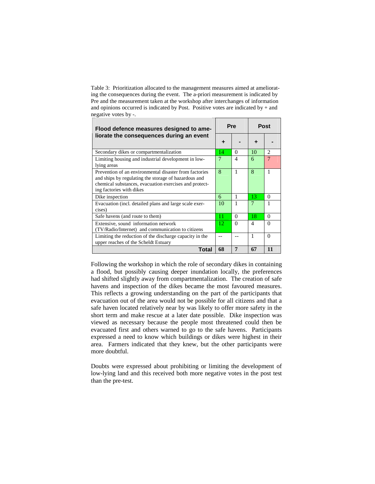Table 3: Prioritization allocated to the management measures aimed at ameliorating the consequences during the event. The a-priori measurement is indicated by Pre and the measurement taken at the workshop after interchanges of information and opinions occurred is indicated by Post. Positive votes are indicated by + and negative votes by -.

| Flood defence measures designed to ame-                                                                                                                                                              |     | <b>Pre</b>     |                | <b>Post</b>    |  |
|------------------------------------------------------------------------------------------------------------------------------------------------------------------------------------------------------|-----|----------------|----------------|----------------|--|
| liorate the consequences during an event                                                                                                                                                             | ٠   |                |                |                |  |
| Secondary dikes or compartmentalization                                                                                                                                                              | 14  | 0              | 10             | 2              |  |
| Limiting housing and industrial development in low-<br>lying areas                                                                                                                                   | 7   | $\overline{4}$ | 6              | $\overline{7}$ |  |
| Prevention of an environmental disaster from factories<br>and ships by regulating the storage of hazardous and<br>chemical substances, evacuation exercises and protect-<br>ing factories with dikes | 8   | $\mathbf{1}$   | 8              | 1              |  |
| Dike inspection                                                                                                                                                                                      | 6   | 1              | 13             | 0              |  |
| Evacuation (incl. detailed plans and large scale exer-<br>cises)                                                                                                                                     | 10  | 1              | 7              | 1              |  |
| Safe havens (and route to them)                                                                                                                                                                      | 11  | $\Omega$       | 18.            | $\Omega$       |  |
| Extensive, sound information network<br>(TV/Radio/Internet) and communication to citizens                                                                                                            | 12. | $\Omega$       | $\overline{4}$ | 0              |  |
| Limiting the reduction of the discharge capacity in the<br>upper reaches of the Scheldt Estuary                                                                                                      |     |                | 1              | $\Omega$       |  |
| Total                                                                                                                                                                                                | 68  | 7              | 67             | 11             |  |

Following the workshop in which the role of secondary dikes in containing a flood, but possibly causing deeper inundation locally, the preferences had shifted slightly away from compartmentalization. The creation of safe havens and inspection of the dikes became the most favoured measures. This reflects a growing understanding on the part of the participants that evacuation out of the area would not be possible for all citizens and that a safe haven located relatively near by was likely to offer more safety in the short term and make rescue at a later date possible. Dike inspection was viewed as necessary because the people most threatened could then be evacuated first and others warned to go to the safe havens. Participants expressed a need to know which buildings or dikes were highest in their area. Farmers indicated that they knew, but the other participants were more doubtful.

Doubts were expressed about prohibiting or limiting the development of low-lying land and this received both more negative votes in the post test than the pre-test.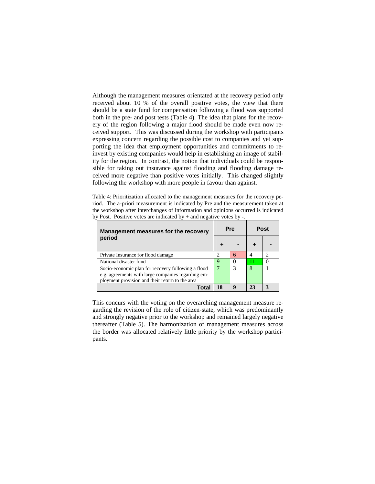Although the management measures orientated at the recovery period only received about 10 % of the overall positive votes, the view that there should be a state fund for compensation following a flood was supported both in the pre- and post tests (Table 4). The idea that plans for the recovery of the region following a major flood should be made even now received support. This was discussed during the workshop with participants expressing concern regarding the possible cost to companies and yet supporting the idea that employment opportunities and commitments to reinvest by existing companies would help in establishing an image of stability for the region. In contrast, the notion that individuals could be responsible for taking out insurance against flooding and flooding damage received more negative than positive votes initially. This changed slightly following the workshop with more people in favour than against.

Table 4: Prioritization allocated to the management measures for the recovery period. The a-priori measurement is indicated by Pre and the measurement taken at the workshop after interchanges of information and opinions occurred is indicated by Post. Positive votes are indicated by + and negative votes by -.

| Management measures for the recovery                                                                                                                        |   | Pre |  | Post |  |
|-------------------------------------------------------------------------------------------------------------------------------------------------------------|---|-----|--|------|--|
| period                                                                                                                                                      |   |     |  |      |  |
| Private Insurance for flood damage                                                                                                                          |   | 6   |  |      |  |
| National disaster fund                                                                                                                                      | Q |     |  |      |  |
| Socio-economic plan for recovery following a flood<br>e.g. agreements with large companies regarding em-<br>ployment provision and their return to the area |   |     |  |      |  |
|                                                                                                                                                             |   |     |  |      |  |

This concurs with the voting on the overarching management measure regarding the revision of the role of citizen-state, which was predominantly and strongly negative prior to the workshop and remained largely negative thereafter (Table 5). The harmonization of management measures across the border was allocated relatively little priority by the workshop participants.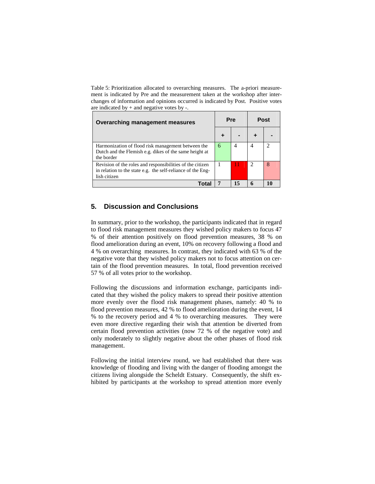Table 5: Prioritization allocated to overarching measures. The a-priori measurement is indicated by Pre and the measurement taken at the workshop after interchanges of information and opinions occurred is indicated by Post. Positive votes are indicated by + and negative votes by -.

| Overarching management measures                                                                                                          | <b>Pre</b> |  | <b>Post</b> |  |
|------------------------------------------------------------------------------------------------------------------------------------------|------------|--|-------------|--|
|                                                                                                                                          |            |  |             |  |
| Harmonization of flood risk management between the<br>Dutch and the Flemish e.g. dikes of the same height at<br>the border               | 6          |  |             |  |
| Revision of the roles and responsibilities of the citizen<br>in relation to the state e.g. the self-reliance of the Eng-<br>lish citizen |            |  |             |  |
| Tota                                                                                                                                     |            |  |             |  |

# **5. Discussion and Conclusions**

In summary, prior to the workshop, the participants indicated that in regard to flood risk management measures they wished policy makers to focus 47 % of their attention positively on flood prevention measures, 38 % on flood amelioration during an event, 10% on recovery following a flood and 4 % on overarching measures. In contrast, they indicated with 63 % of the negative vote that they wished policy makers not to focus attention on certain of the flood prevention measures. In total, flood prevention received 57 % of all votes prior to the workshop.

Following the discussions and information exchange, participants indicated that they wished the policy makers to spread their positive attention more evenly over the flood risk management phases, namely: 40 % to flood prevention measures, 42 % to flood amelioration during the event, 14 % to the recovery period and 4 % to overarching measures. They were even more directive regarding their wish that attention be diverted from certain flood prevention activities (now 72 % of the negative vote) and only moderately to slightly negative about the other phases of flood risk management.

Following the initial interview round, we had established that there was knowledge of flooding and living with the danger of flooding amongst the citizens living alongside the Scheldt Estuary. Consequently, the shift exhibited by participants at the workshop to spread attention more evenly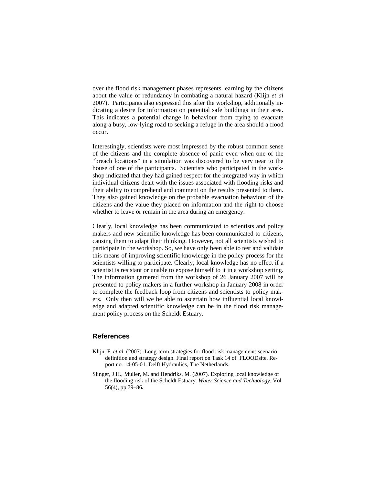over the flood risk management phases represents learning by the citizens about the value of redundancy in combating a natural hazard (Klijn *et al* 2007). Participants also expressed this after the workshop, additionally indicating a desire for information on potential safe buildings in their area. This indicates a potential change in behaviour from trying to evacuate along a busy, low-lying road to seeking a refuge in the area should a flood occur.

Interestingly, scientists were most impressed by the robust common sense of the citizens and the complete absence of panic even when one of the "breach locations" in a simulation was discovered to be very near to the house of one of the participants. Scientists who participated in the workshop indicated that they had gained respect for the integrated way in which individual citizens dealt with the issues associated with flooding risks and their ability to comprehend and comment on the results presented to them. They also gained knowledge on the probable evacuation behaviour of the citizens and the value they placed on information and the right to choose whether to leave or remain in the area during an emergency.

Clearly, local knowledge has been communicated to scientists and policy makers and new scientific knowledge has been communicated to citizens, causing them to adapt their thinking. However, not all scientists wished to participate in the workshop. So, we have only been able to test and validate this means of improving scientific knowledge in the policy process for the scientists willing to participate. Clearly, local knowledge has no effect if a scientist is resistant or unable to expose himself to it in a workshop setting. The information garnered from the workshop of 26 January 2007 will be presented to policy makers in a further workshop in January 2008 in order to complete the feedback loop from citizens and scientists to policy makers. Only then will we be able to ascertain how influential local knowledge and adapted scientific knowledge can be in the flood risk management policy process on the Scheldt Estuary.

# **References**

- Klijn, F. *et al*. (2007). Long-term strategies for flood risk management: scenario definition and strategy design. Final report on Task 14 of FLOODsite. Report no. 14-05-01. Delft Hydraulics, The Netherlands.
- Slinger, J.H., Muller, M. and Hendriks, M. (2007). Exploring local knowledge of the flooding risk of the Scheldt Estuary. *Water Science and Technology*. Vol 56(4), pp 79–86**.**